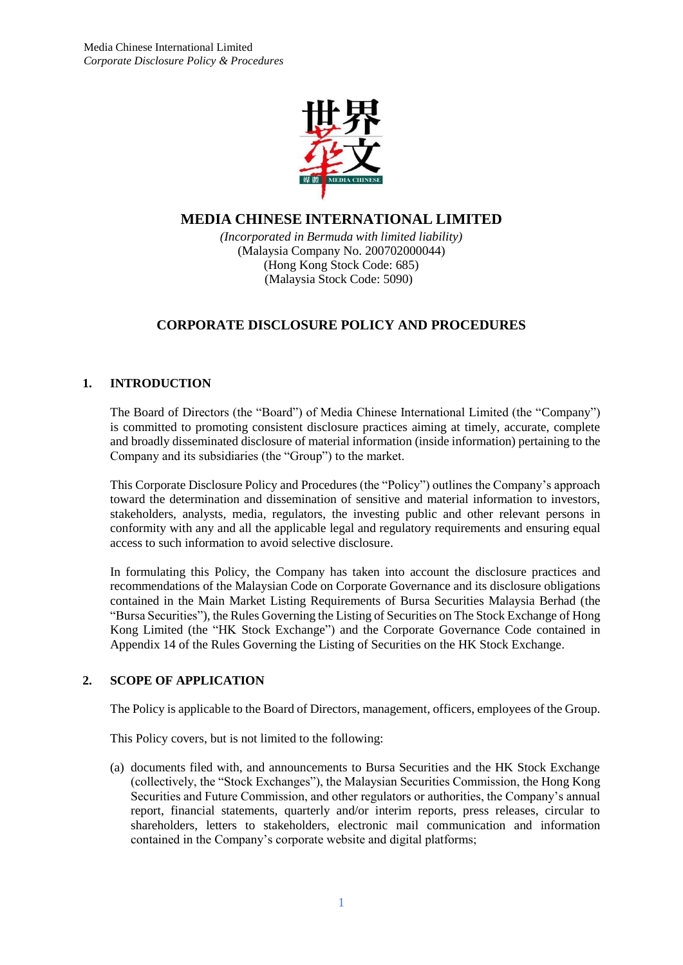

## **MEDIA CHINESE INTERNATIONAL LIMITED**

*(Incorporated in Bermuda with limited liability)* (Malaysia Company No. 200702000044) (Hong Kong Stock Code: 685) (Malaysia Stock Code: 5090)

# **CORPORATE DISCLOSURE POLICY AND PROCEDURES**

## **1. INTRODUCTION**

The Board of Directors (the "Board") of Media Chinese International Limited (the "Company") is committed to promoting consistent disclosure practices aiming at timely, accurate, complete and broadly disseminated disclosure of material information (inside information) pertaining to the Company and its subsidiaries (the "Group") to the market.

This Corporate Disclosure Policy and Procedures (the "Policy") outlines the Company's approach toward the determination and dissemination of sensitive and material information to investors, stakeholders, analysts, media, regulators, the investing public and other relevant persons in conformity with any and all the applicable legal and regulatory requirements and ensuring equal access to such information to avoid selective disclosure.

In formulating this Policy, the Company has taken into account the disclosure practices and recommendations of the Malaysian Code on Corporate Governance and its disclosure obligations contained in the Main Market Listing Requirements of Bursa Securities Malaysia Berhad (the "Bursa Securities"), the Rules Governing the Listing of Securities on The Stock Exchange of Hong Kong Limited (the "HK Stock Exchange") and the Corporate Governance Code contained in Appendix 14 of the Rules Governing the Listing of Securities on the HK Stock Exchange.

## **2. SCOPE OF APPLICATION**

The Policy is applicable to the Board of Directors, management, officers, employees of the Group.

This Policy covers, but is not limited to the following:

(a) documents filed with, and announcements to Bursa Securities and the HK Stock Exchange (collectively, the "Stock Exchanges"), the Malaysian Securities Commission, the Hong Kong Securities and Future Commission, and other regulators or authorities, the Company's annual report, financial statements, quarterly and/or interim reports, press releases, circular to shareholders, letters to stakeholders, electronic mail communication and information contained in the Company's corporate website and digital platforms;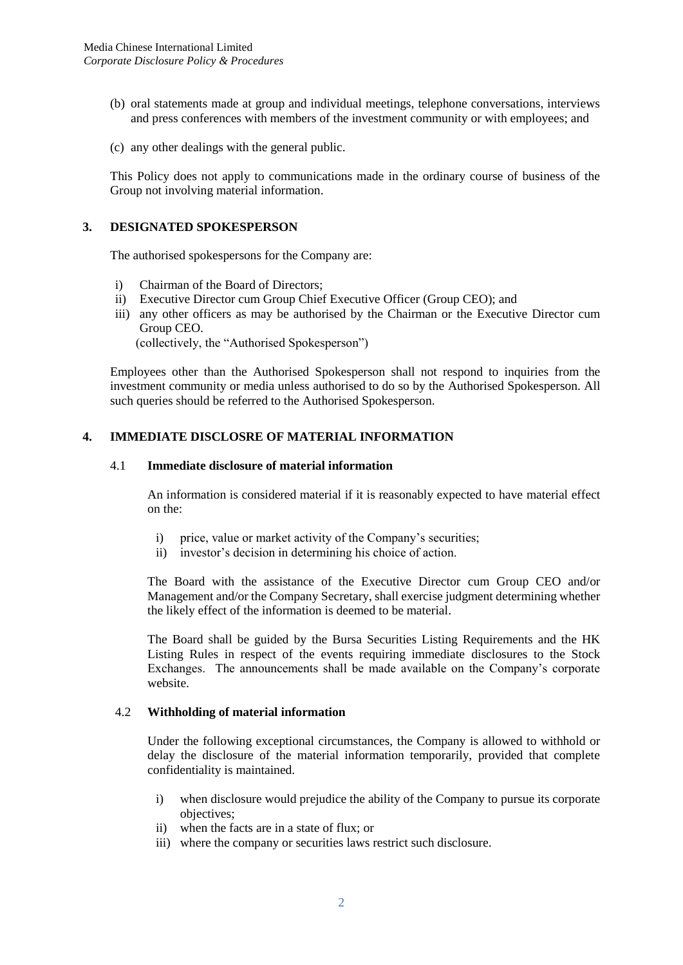- (b) oral statements made at group and individual meetings, telephone conversations, interviews and press conferences with members of the investment community or with employees; and
- (c) any other dealings with the general public.

This Policy does not apply to communications made in the ordinary course of business of the Group not involving material information.

#### **3. DESIGNATED SPOKESPERSON**

The authorised spokespersons for the Company are:

- i) Chairman of the Board of Directors;
- ii) Executive Director cum Group Chief Executive Officer (Group CEO); and
- iii) any other officers as may be authorised by the Chairman or the Executive Director cum Group CEO.

(collectively, the "Authorised Spokesperson")

Employees other than the Authorised Spokesperson shall not respond to inquiries from the investment community or media unless authorised to do so by the Authorised Spokesperson. All such queries should be referred to the Authorised Spokesperson.

#### **4. IMMEDIATE DISCLOSRE OF MATERIAL INFORMATION**

#### 4.1 **Immediate disclosure of material information**

An information is considered material if it is reasonably expected to have material effect on the:

- i) price, value or market activity of the Company's securities;
- ii) investor's decision in determining his choice of action.

The Board with the assistance of the Executive Director cum Group CEO and/or Management and/or the Company Secretary, shall exercise judgment determining whether the likely effect of the information is deemed to be material.

The Board shall be guided by the Bursa Securities Listing Requirements and the HK Listing Rules in respect of the events requiring immediate disclosures to the Stock Exchanges. The announcements shall be made available on the Company's corporate website.

#### 4.2 **Withholding of material information**

Under the following exceptional circumstances, the Company is allowed to withhold or delay the disclosure of the material information temporarily, provided that complete confidentiality is maintained.

- i) when disclosure would prejudice the ability of the Company to pursue its corporate objectives;
- ii) when the facts are in a state of flux; or
- iii) where the company or securities laws restrict such disclosure.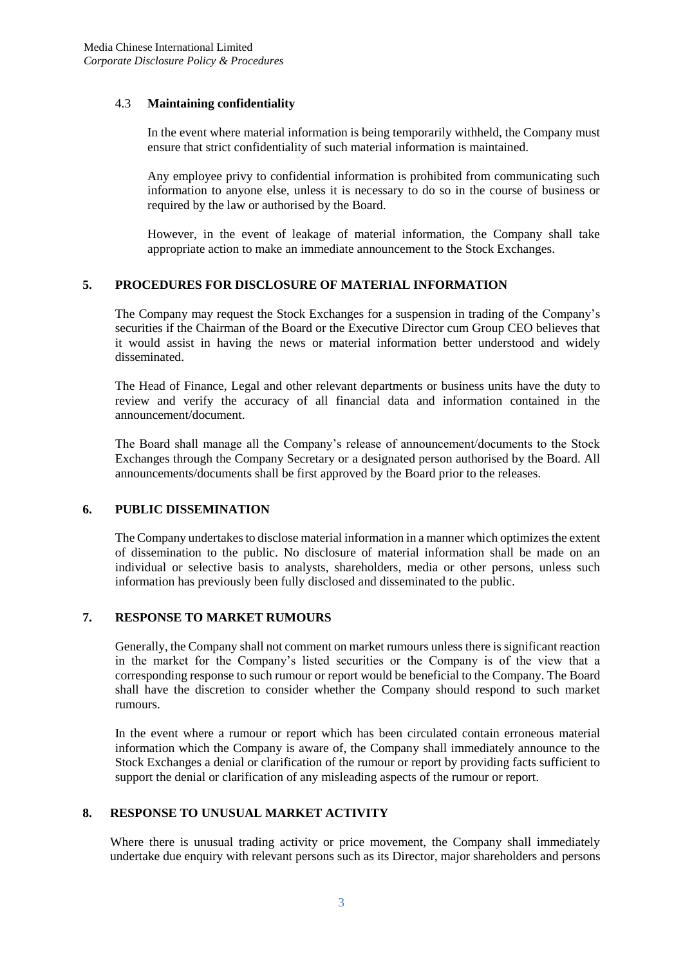#### 4.3 **Maintaining confidentiality**

In the event where material information is being temporarily withheld, the Company must ensure that strict confidentiality of such material information is maintained.

Any employee privy to confidential information is prohibited from communicating such information to anyone else, unless it is necessary to do so in the course of business or required by the law or authorised by the Board.

However, in the event of leakage of material information, the Company shall take appropriate action to make an immediate announcement to the Stock Exchanges.

#### **5. PROCEDURES FOR DISCLOSURE OF MATERIAL INFORMATION**

The Company may request the Stock Exchanges for a suspension in trading of the Company's securities if the Chairman of the Board or the Executive Director cum Group CEO believes that it would assist in having the news or material information better understood and widely disseminated.

The Head of Finance, Legal and other relevant departments or business units have the duty to review and verify the accuracy of all financial data and information contained in the announcement/document.

The Board shall manage all the Company's release of announcement/documents to the Stock Exchanges through the Company Secretary or a designated person authorised by the Board. All announcements/documents shall be first approved by the Board prior to the releases.

#### **6. PUBLIC DISSEMINATION**

The Company undertakes to disclose material information in a manner which optimizes the extent of dissemination to the public. No disclosure of material information shall be made on an individual or selective basis to analysts, shareholders, media or other persons, unless such information has previously been fully disclosed and disseminated to the public.

#### **7. RESPONSE TO MARKET RUMOURS**

Generally, the Company shall not comment on market rumours unless there is significant reaction in the market for the Company's listed securities or the Company is of the view that a corresponding response to such rumour or report would be beneficial to the Company. The Board shall have the discretion to consider whether the Company should respond to such market rumours.

In the event where a rumour or report which has been circulated contain erroneous material information which the Company is aware of, the Company shall immediately announce to the Stock Exchanges a denial or clarification of the rumour or report by providing facts sufficient to support the denial or clarification of any misleading aspects of the rumour or report.

#### **8. RESPONSE TO UNUSUAL MARKET ACTIVITY**

Where there is unusual trading activity or price movement, the Company shall immediately undertake due enquiry with relevant persons such as its Director, major shareholders and persons